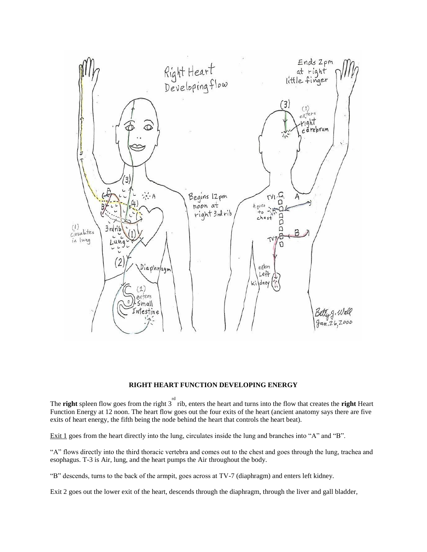

## **RIGHT HEART FUNCTION DEVELOPING ENERGY**

The **right** spleen flow goes from the right  $3^{rd}$  rib, enters the heart and turns into the flow that creates the **right** Heart Function Energy at 12 noon. The heart flow goes out the four exits of the heart (ancient anatomy says there are five exits of heart energy, the fifth being the node behind the heart that controls the heart beat).

Exit 1 goes from the heart directly into the lung, circulates inside the lung and branches into "A" and "B".

"A" flows directly into the third thoracic vertebra and comes out to the chest and goes through the lung, trachea and esophagus. T-3 is Air, lung, and the heart pumps the Air throughout the body.

"B" descends, turns to the back of the armpit, goes across at TV-7 (diaphragm) and enters left kidney.

Exit 2 goes out the lower exit of the heart, descends through the diaphragm, through the liver and gall bladder,